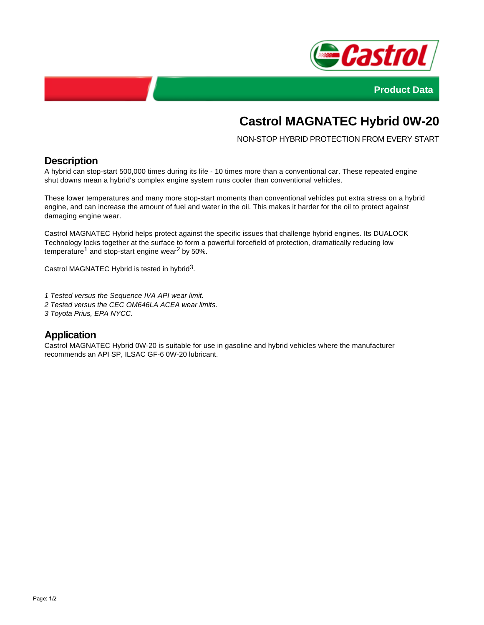



# **Castrol MAGNATEC Hybrid 0W-20**

NON-STOP HYBRID PROTECTION FROM EVERY START

## **Description**

A hybrid can stop-start 500,000 times during its life - 10 times more than a conventional car. These repeated engine shut downs mean a hybrid's complex engine system runs cooler than conventional vehicles.

These lower temperatures and many more stop-start moments than conventional vehicles put extra stress on a hybrid engine, and can increase the amount of fuel and water in the oil. This makes it harder for the oil to protect against damaging engine wear.

Castrol MAGNATEC Hybrid helps protect against the specific issues that challenge hybrid engines. Its DUALOCK Technology locks together at the surface to form a powerful forcefield of protection, dramatically reducing low temperature<sup>1</sup> and stop-start engine wear<sup>2</sup> by 50%.

Castrol MAGNATEC Hybrid is tested in hybrid<sup>3</sup>.

1 Tested versus the Sequence IVA API wear limit.

- 2 Tested versus the CEC OM646LA ACEA wear limits.
- 3 Toyota Prius, EPA NYCC.

## **Application**

Castrol MAGNATEC Hybrid 0W-20 is suitable for use in gasoline and hybrid vehicles where the manufacturer recommends an API SP, ILSAC GF-6 0W-20 lubricant.